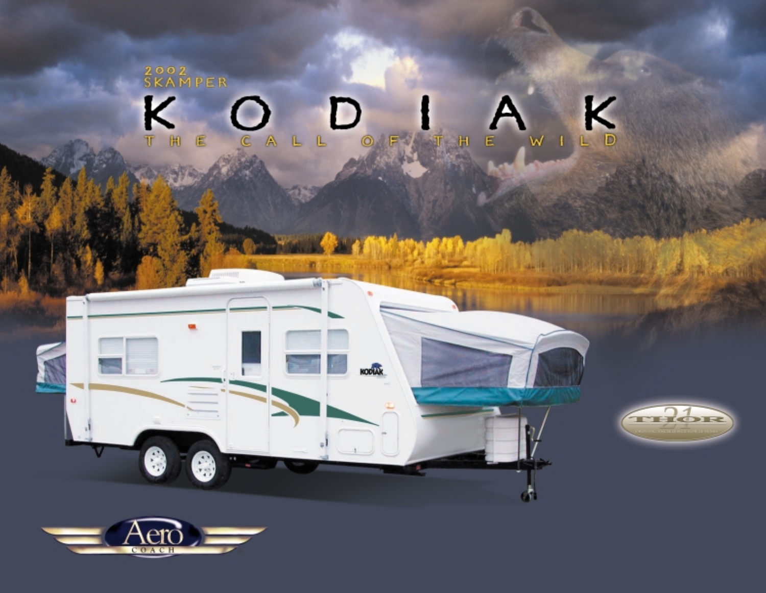2002<br>SKAMPER K K D OF TH LD ALL  $W$  1 Е

HODAK

 $\overline{\omega};\mathcal{V}$ 



**PALLATIN** 

一些 新闻 计不同类型

ď.



8

6

sl.,

 $\tilde{\mathbf{u}}$